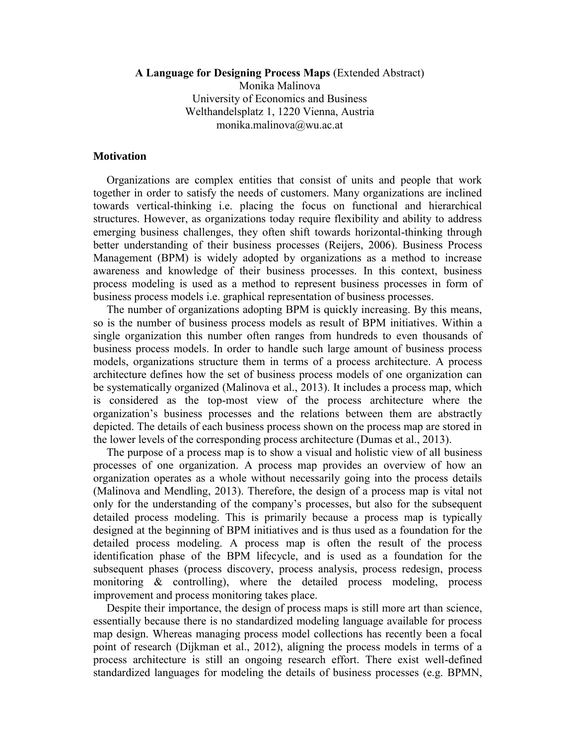### **A Language for Designing Process Maps** (Extended Abstract)

Monika Malinova University of Economics and Business Welthandelsplatz 1, 1220 Vienna, Austria monika.malinova@wu.ac.at

### **Motivation**

Organizations are complex entities that consist of units and people that work together in order to satisfy the needs of customers. Many organizations are inclined towards vertical-thinking i.e. placing the focus on functional and hierarchical structures. However, as organizations today require flexibility and ability to address emerging business challenges, they often shift towards horizontal-thinking through better understanding of their business processes (Reijers, 2006). Business Process Management (BPM) is widely adopted by organizations as a method to increase awareness and knowledge of their business processes. In this context, business process modeling is used as a method to represent business processes in form of business process models i.e. graphical representation of business processes.

The number of organizations adopting BPM is quickly increasing. By this means, so is the number of business process models as result of BPM initiatives. Within a single organization this number often ranges from hundreds to even thousands of business process models. In order to handle such large amount of business process models, organizations structure them in terms of a process architecture. A process architecture defines how the set of business process models of one organization can be systematically organized (Malinova et al., 2013). It includes a process map, which is considered as the top-most view of the process architecture where the organization's business processes and the relations between them are abstractly depicted. The details of each business process shown on the process map are stored in the lower levels of the corresponding process architecture (Dumas et al., 2013).

The purpose of a process map is to show a visual and holistic view of all business processes of one organization. A process map provides an overview of how an organization operates as a whole without necessarily going into the process details (Malinova and Mendling, 2013). Therefore, the design of a process map is vital not only for the understanding of the company's processes, but also for the subsequent detailed process modeling. This is primarily because a process map is typically designed at the beginning of BPM initiatives and is thus used as a foundation for the detailed process modeling. A process map is often the result of the process identification phase of the BPM lifecycle, and is used as a foundation for the subsequent phases (process discovery, process analysis, process redesign, process monitoring & controlling), where the detailed process modeling, process improvement and process monitoring takes place.

Despite their importance, the design of process maps is still more art than science, essentially because there is no standardized modeling language available for process map design. Whereas managing process model collections has recently been a focal point of research (Dijkman et al., 2012), aligning the process models in terms of a process architecture is still an ongoing research effort. There exist well-defined standardized languages for modeling the details of business processes (e.g. BPMN,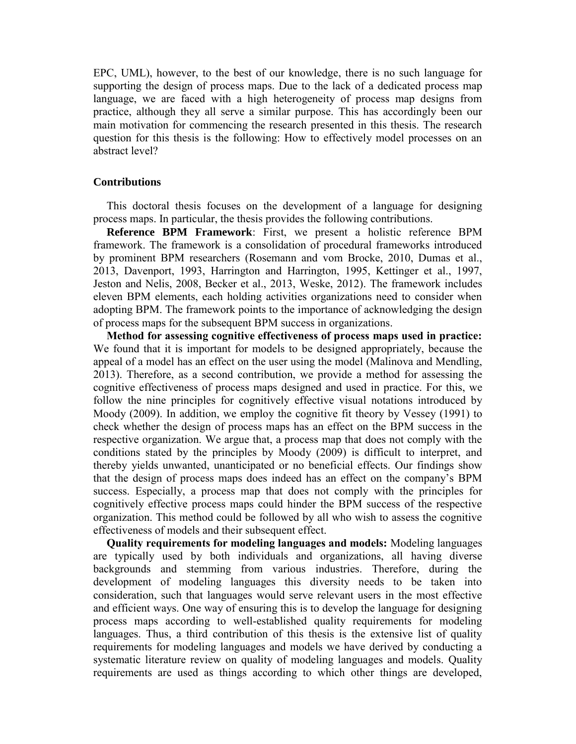EPC, UML), however, to the best of our knowledge, there is no such language for supporting the design of process maps. Due to the lack of a dedicated process map language, we are faced with a high heterogeneity of process map designs from practice, although they all serve a similar purpose. This has accordingly been our main motivation for commencing the research presented in this thesis. The research question for this thesis is the following: How to effectively model processes on an abstract level?

# **Contributions**

This doctoral thesis focuses on the development of a language for designing process maps. In particular, the thesis provides the following contributions.

**Reference BPM Framework**: First, we present a holistic reference BPM framework. The framework is a consolidation of procedural frameworks introduced by prominent BPM researchers (Rosemann and vom Brocke, 2010, Dumas et al., 2013, Davenport, 1993, Harrington and Harrington, 1995, Kettinger et al., 1997, Jeston and Nelis, 2008, Becker et al., 2013, Weske, 2012). The framework includes eleven BPM elements, each holding activities organizations need to consider when adopting BPM. The framework points to the importance of acknowledging the design of process maps for the subsequent BPM success in organizations.

**Method for assessing cognitive effectiveness of process maps used in practice:** We found that it is important for models to be designed appropriately, because the appeal of a model has an effect on the user using the model (Malinova and Mendling, 2013). Therefore, as a second contribution, we provide a method for assessing the cognitive effectiveness of process maps designed and used in practice. For this, we follow the nine principles for cognitively effective visual notations introduced by Moody (2009). In addition, we employ the cognitive fit theory by Vessey (1991) to check whether the design of process maps has an effect on the BPM success in the respective organization. We argue that, a process map that does not comply with the conditions stated by the principles by Moody (2009) is difficult to interpret, and thereby yields unwanted, unanticipated or no beneficial effects. Our findings show that the design of process maps does indeed has an effect on the company's BPM success. Especially, a process map that does not comply with the principles for cognitively effective process maps could hinder the BPM success of the respective organization. This method could be followed by all who wish to assess the cognitive effectiveness of models and their subsequent effect.

**Quality requirements for modeling languages and models:** Modeling languages are typically used by both individuals and organizations, all having diverse backgrounds and stemming from various industries. Therefore, during the development of modeling languages this diversity needs to be taken into consideration, such that languages would serve relevant users in the most effective and efficient ways. One way of ensuring this is to develop the language for designing process maps according to well-established quality requirements for modeling languages. Thus, a third contribution of this thesis is the extensive list of quality requirements for modeling languages and models we have derived by conducting a systematic literature review on quality of modeling languages and models. Quality requirements are used as things according to which other things are developed,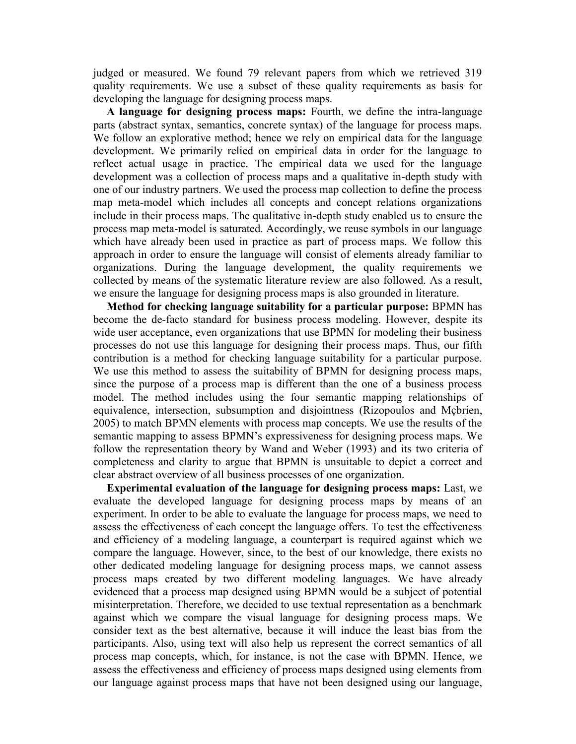judged or measured. We found 79 relevant papers from which we retrieved 319 quality requirements. We use a subset of these quality requirements as basis for developing the language for designing process maps.

**A language for designing process maps:** Fourth, we define the intra-language parts (abstract syntax, semantics, concrete syntax) of the language for process maps. We follow an explorative method; hence we rely on empirical data for the language development. We primarily relied on empirical data in order for the language to reflect actual usage in practice. The empirical data we used for the language development was a collection of process maps and a qualitative in-depth study with one of our industry partners. We used the process map collection to define the process map meta-model which includes all concepts and concept relations organizations include in their process maps. The qualitative in-depth study enabled us to ensure the process map meta-model is saturated. Accordingly, we reuse symbols in our language which have already been used in practice as part of process maps. We follow this approach in order to ensure the language will consist of elements already familiar to organizations. During the language development, the quality requirements we collected by means of the systematic literature review are also followed. As a result, we ensure the language for designing process maps is also grounded in literature.

**Method for checking language suitability for a particular purpose:** BPMN has become the de-facto standard for business process modeling. However, despite its wide user acceptance, even organizations that use BPMN for modeling their business processes do not use this language for designing their process maps. Thus, our fifth contribution is a method for checking language suitability for a particular purpose. We use this method to assess the suitability of BPMN for designing process maps, since the purpose of a process map is different than the one of a business process model. The method includes using the four semantic mapping relationships of equivalence, intersection, subsumption and disjointness (Rizopoulos and Mçbrien, 2005) to match BPMN elements with process map concepts. We use the results of the semantic mapping to assess BPMN's expressiveness for designing process maps. We follow the representation theory by Wand and Weber (1993) and its two criteria of completeness and clarity to argue that BPMN is unsuitable to depict a correct and clear abstract overview of all business processes of one organization.

**Experimental evaluation of the language for designing process maps:** Last, we evaluate the developed language for designing process maps by means of an experiment. In order to be able to evaluate the language for process maps, we need to assess the effectiveness of each concept the language offers. To test the effectiveness and efficiency of a modeling language, a counterpart is required against which we compare the language. However, since, to the best of our knowledge, there exists no other dedicated modeling language for designing process maps, we cannot assess process maps created by two different modeling languages. We have already evidenced that a process map designed using BPMN would be a subject of potential misinterpretation. Therefore, we decided to use textual representation as a benchmark against which we compare the visual language for designing process maps. We consider text as the best alternative, because it will induce the least bias from the participants. Also, using text will also help us represent the correct semantics of all process map concepts, which, for instance, is not the case with BPMN. Hence, we assess the effectiveness and efficiency of process maps designed using elements from our language against process maps that have not been designed using our language,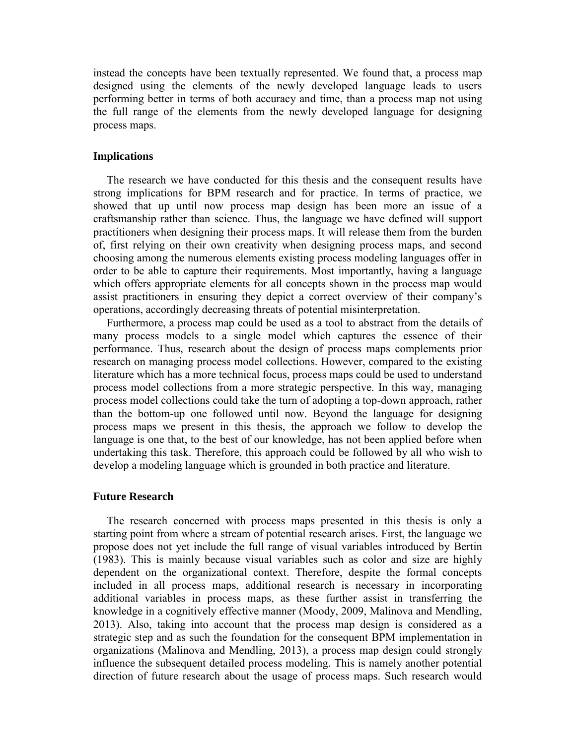instead the concepts have been textually represented. We found that, a process map designed using the elements of the newly developed language leads to users performing better in terms of both accuracy and time, than a process map not using the full range of the elements from the newly developed language for designing process maps.

## **Implications**

The research we have conducted for this thesis and the consequent results have strong implications for BPM research and for practice. In terms of practice, we showed that up until now process map design has been more an issue of a craftsmanship rather than science. Thus, the language we have defined will support practitioners when designing their process maps. It will release them from the burden of, first relying on their own creativity when designing process maps, and second choosing among the numerous elements existing process modeling languages offer in order to be able to capture their requirements. Most importantly, having a language which offers appropriate elements for all concepts shown in the process map would assist practitioners in ensuring they depict a correct overview of their company's operations, accordingly decreasing threats of potential misinterpretation.

Furthermore, a process map could be used as a tool to abstract from the details of many process models to a single model which captures the essence of their performance. Thus, research about the design of process maps complements prior research on managing process model collections. However, compared to the existing literature which has a more technical focus, process maps could be used to understand process model collections from a more strategic perspective. In this way, managing process model collections could take the turn of adopting a top-down approach, rather than the bottom-up one followed until now. Beyond the language for designing process maps we present in this thesis, the approach we follow to develop the language is one that, to the best of our knowledge, has not been applied before when undertaking this task. Therefore, this approach could be followed by all who wish to develop a modeling language which is grounded in both practice and literature.

#### **Future Research**

The research concerned with process maps presented in this thesis is only a starting point from where a stream of potential research arises. First, the language we propose does not yet include the full range of visual variables introduced by Bertin (1983). This is mainly because visual variables such as color and size are highly dependent on the organizational context. Therefore, despite the formal concepts included in all process maps, additional research is necessary in incorporating additional variables in process maps, as these further assist in transferring the knowledge in a cognitively effective manner (Moody, 2009, Malinova and Mendling, 2013). Also, taking into account that the process map design is considered as a strategic step and as such the foundation for the consequent BPM implementation in organizations (Malinova and Mendling, 2013), a process map design could strongly influence the subsequent detailed process modeling. This is namely another potential direction of future research about the usage of process maps. Such research would